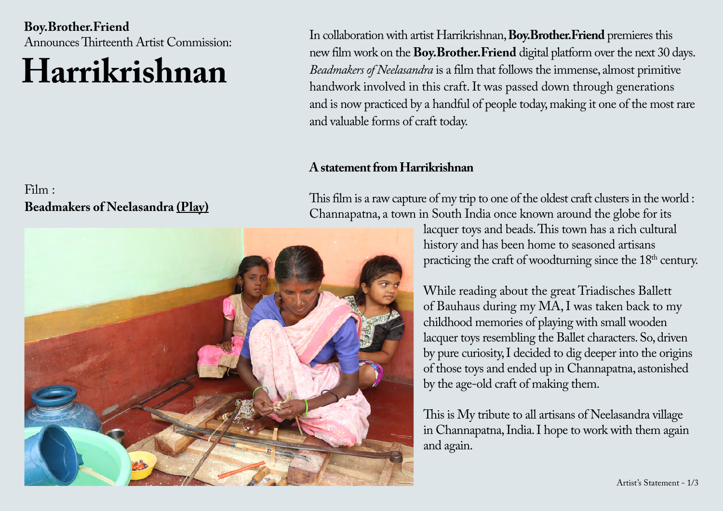**Boy.Brother.Friend**  Announces Thirteenth Artist Commission:

# **Harrikrishnan**

### Film : **Beadmakers of Neelasandra [\(Play\)](https://boybrotherfriend.com/)**

In collaboration with artist Harrikrishnan, **Boy.Brother.Friend** premieres this new film work on the **Boy.Brother.Friend** digital platform over the next 30 days. *Beadmakers of Neelasandra* is a film that follows the immense, almost primitive handwork involved in this craft. It was passed down through generations and is now practiced by a handful of people today, making it one of the most rare and valuable forms of craft today.

#### **A statement from Harrikrishnan**

This film is a raw capture of my trip to one of the oldest craft clusters in the world : Channapatna, a town in South India once known around the globe for its

lacquer toys and beads. This town has a rich cultural history and has been home to seasoned artisans practicing the craft of woodturning since the  $18<sup>th</sup>$  century.

While reading about the great Triadisches Ballett of Bauhaus during my MA, I was taken back to my childhood memories of playing with small wooden lacquer toys resembling the Ballet characters. So, driven by pure curiosity, I decided to dig deeper into the origins of those toys and ended up in Channapatna, astonished by the age-old craft of making them.

This is My tribute to all artisans of Neelasandra village in Channapatna, India. I hope to work with them again and again.

Artist's Statement - 1/3

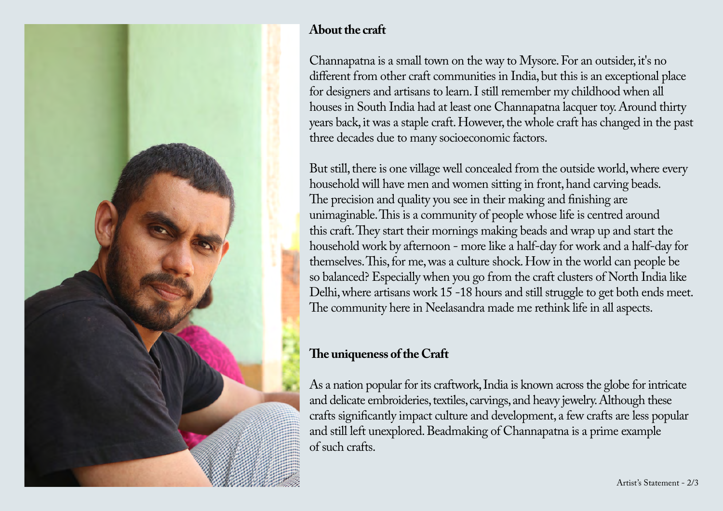

## **About the craft**

Channapatna is a small town on the way to Mysore. For an outsider, it's no different from other craft communities in India, but this is an exceptional place for designers and artisans to learn. I still remember my childhood when all houses in South India had at least one Channapatna lacquer toy. Around thirty years back, it was a staple craft. However, the whole craft has changed in the past three decades due to many socioeconomic factors.

But still, there is one village well concealed from the outside world, where every household will have men and women sitting in front, hand carving beads. The precision and quality you see in their making and finishing are unimaginable. This is a community of people whose life is centred around this craft. They start their mornings making beads and wrap up and start the household work by afternoon - more like a half-day for work and a half-day for themselves. This, for me, was a culture shock. How in the world can people be so balanced? Especially when you go from the craft clusters of North India like Delhi, where artisans work 15 -18 hours and still struggle to get both ends meet. The community here in Neelasandra made me rethink life in all aspects.

# **The uniqueness of the Craft**

As a nation popular for its craftwork, India is known across the globe for intricate and delicate embroideries, textiles, carvings, and heavy jewelry. Although these crafts significantly impact culture and development, a few crafts are less popular and still left unexplored. Beadmaking of Channapatna is a prime example of such crafts.